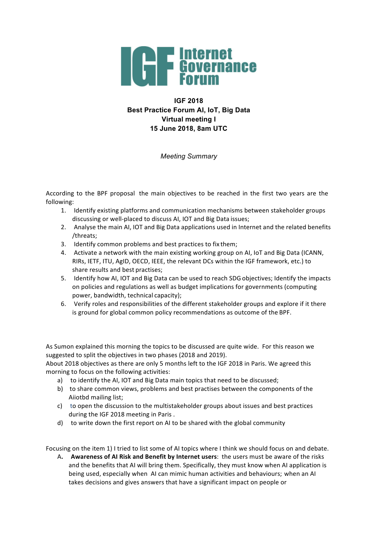

## **IGF 2018 Best Practice Forum AI, IoT, Big Data Virtual meeting I 15 June 2018, 8am UTC**

*Meeting Summary*

According to the BPF proposal the main objectives to be reached in the first two years are the following:

- 1. Identify existing platforms and communication mechanisms between stakeholder groups discussing or well-placed to discuss AI, IOT and Big Data issues;
- 2. Analyse the main AI, IOT and Big Data applications used in Internet and the related benefits /threats;
- 3. Identify common problems and best practices to fix them;
- 4. Activate a network with the main existing working group on AI, IoT and Big Data (ICANN, RIRs, IETF, ITU, AgID, OECD, IEEE, the relevant DCs within the IGF framework, etc.) to share results and best practises;
- 5. Identify how AI, IOT and Big Data can be used to reach SDG objectives; Identify the impacts on policies and regulations as well as budget implications for governments (computing power, bandwidth, technical capacity);
- 6. Verify roles and responsibilities of the different stakeholder groups and explore if it there is ground for global common policy recommendations as outcome of the BPF.

As Sumon explained this morning the topics to be discussed are quite wide. For this reason we suggested to split the objectives in two phases (2018 and 2019).

About 2018 objectives as there are only 5 months left to the IGF 2018 in Paris. We agreed this morning to focus on the following activities:

- a) to identify the AI, IOT and Big Data main topics that need to be discussed;
- b) to share common views, problems and best practises between the components of the Aiiotbd mailing list;
- c) to open the discussion to the multistakeholder groups about issues and best practices during the IGF 2018 meeting in Paris.
- d) to write down the first report on AI to be shared with the global community

Focusing on the item 1) I tried to list some of AI topics where I think we should focus on and debate.

A. Awareness of AI Risk and Benefit by Internet users: the users must be aware of the risks and the benefits that AI will bring them. Specifically, they must know when AI application is being used, especially when AI can mimic human activities and behaviours; when an AI takes decisions and gives answers that have a significant impact on people or